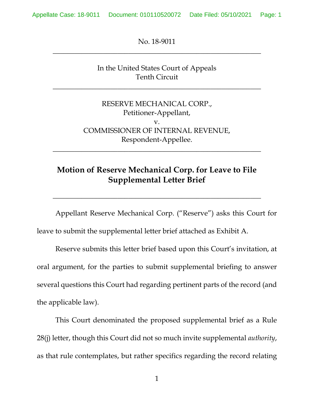Appellate Case: 18-9011 Document: 010110520072 Date Filed: 05/10/2021 Page: 1

No. 18-9011 \_\_\_\_\_\_\_\_\_\_\_\_\_\_\_\_\_\_\_\_\_\_\_\_\_\_\_\_\_\_\_\_\_\_\_\_\_\_\_\_\_\_\_\_\_\_\_\_\_\_\_\_\_\_\_\_\_\_

> In the United States Court of Appeals Tenth Circuit

\_\_\_\_\_\_\_\_\_\_\_\_\_\_\_\_\_\_\_\_\_\_\_\_\_\_\_\_\_\_\_\_\_\_\_\_\_\_\_\_\_\_\_\_\_\_\_\_\_\_\_\_\_\_\_\_\_\_

RESERVE MECHANICAL CORP., Petitioner-Appellant, v. COMMISSIONER OF INTERNAL REVENUE, Respondent-Appellee.

# **Motion of Reserve Mechanical Corp. for Leave to File Supplemental Letter Brief**

\_\_\_\_\_\_\_\_\_\_\_\_\_\_\_\_\_\_\_\_\_\_\_\_\_\_\_\_\_\_\_\_\_\_\_\_\_\_\_\_\_\_\_\_\_\_\_\_\_\_\_\_\_\_\_\_\_\_

\_\_\_\_\_\_\_\_\_\_\_\_\_\_\_\_\_\_\_\_\_\_\_\_\_\_\_\_\_\_\_\_\_\_\_\_\_\_\_\_\_\_\_\_\_\_\_\_\_\_\_\_\_\_\_\_\_\_

Appellant Reserve Mechanical Corp. ("Reserve") asks this Court for leave to submit the supplemental letter brief attached as Exhibit A.

Reserve submits this letter brief based upon this Court's invitation, at oral argument, for the parties to submit supplemental briefing to answer several questions this Court had regarding pertinent parts of the record (and the applicable law).

This Court denominated the proposed supplemental brief as a Rule 28(j) letter, though this Court did not so much invite supplemental *authority*, as that rule contemplates, but rather specifics regarding the record relating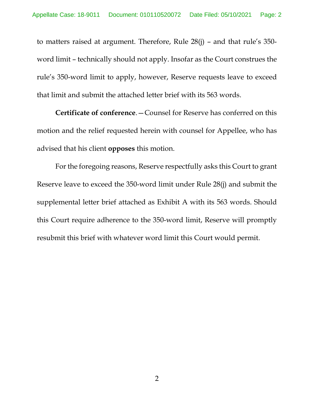to matters raised at argument. Therefore, Rule 28(j) – and that rule's 350 word limit – technically should not apply. Insofar as the Court construes the rule's 350-word limit to apply, however, Reserve requests leave to exceed that limit and submit the attached letter brief with its 563 words.

**Certificate of conference**.—Counsel for Reserve has conferred on this motion and the relief requested herein with counsel for Appellee, who has advised that his client **opposes** this motion.

For the foregoing reasons, Reserve respectfully asks this Court to grant Reserve leave to exceed the 350-word limit under Rule 28(j) and submit the supplemental letter brief attached as Exhibit A with its 563 words. Should this Court require adherence to the 350-word limit, Reserve will promptly resubmit this brief with whatever word limit this Court would permit.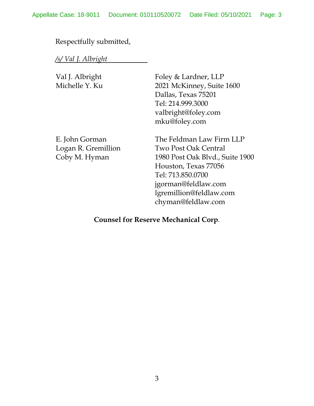# Respectfully submitted,

*/s/ Val J. Albright* 

| Val J. Albright     | Foley & Lardner, LLP            |
|---------------------|---------------------------------|
| Michelle Y. Ku      | 2021 McKinney, Suite 1600       |
|                     | Dallas, Texas 75201             |
|                     | Tel: 214.999.3000               |
|                     | valbright@foley.com             |
|                     | mku@foley.com                   |
| E. John Gorman      | The Feldman Law Firm LLP        |
| Logan R. Gremillion | Two Post Oak Central            |
| Coby M. Hyman       | 1980 Post Oak Blvd., Suite 1900 |
|                     | Houston, Texas 77056            |
|                     | Tel: 713.850.0700               |
|                     | jgorman@feldlaw.com             |
|                     | lgremillion@feldlaw.com         |

# **Counsel for Reserve Mechanical Corp**.

chyman@feldlaw.com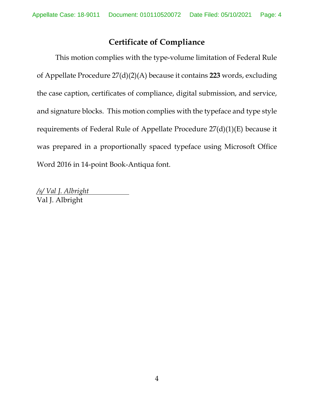# **Certificate of Compliance**

This motion complies with the type-volume limitation of Federal Rule of Appellate Procedure 27(d)(2)(A) because it contains **223** words, excluding the case caption, certificates of compliance, digital submission, and service, and signature blocks. This motion complies with the typeface and type style requirements of Federal Rule of Appellate Procedure 27(d)(1)(E) because it was prepared in a proportionally spaced typeface using Microsoft Office Word 2016 in 14-point Book-Antiqua font.

*/s/ Val J. Albright*  Val J. Albright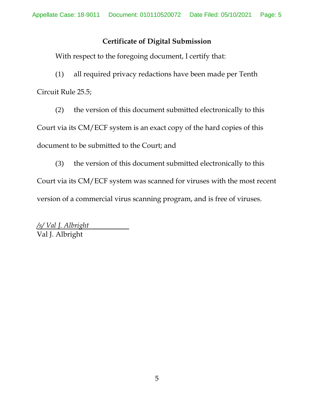### **Certificate of Digital Submission**

With respect to the foregoing document, I certify that:

(1) all required privacy redactions have been made per Tenth Circuit Rule 25.5;

(2) the version of this document submitted electronically to this Court via its CM/ECF system is an exact copy of the hard copies of this document to be submitted to the Court; and

(3) the version of this document submitted electronically to this Court via its CM/ECF system was scanned for viruses with the most recent version of a commercial virus scanning program, and is free of viruses.

*/s/ Val J. Albright*  Val J. Albright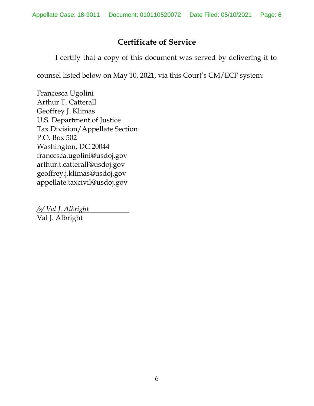# **Certificate of Service**

I certify that a copy of this document was served by delivering it to

counsel listed below on May 10, 2021, via this Court's CM/ECF system:

Francesca Ugolini Arthur T. Catterall Geoffrey J. Klimas U.S. Department of Justice Tax Division/Appellate Section P.O. Box 502 Washington, DC 20044 francesca.ugolini@usdoj.gov arthur.t.catterall@usdoj.gov geoffrey.j.klimas@usdoj.gov appellate.taxcivil@usdoj.gov

*/s/ Val J. Albright*  Val J. Albright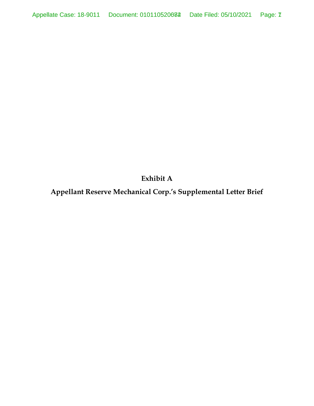**Exhibit A** 

**Appellant Reserve Mechanical Corp.'s Supplemental Letter Brief**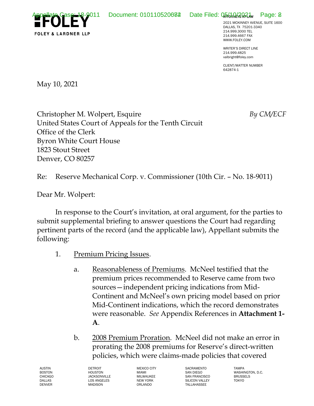Appellate Case: 18-9011 Document: 010110520082 Date Filed: 05/10/2021 Page: 8



2021 MCKINNEY AVENUE, SUITE 1600 DALLAS, TX 75201-3340 214.999.3000 TEL 214.999.4667 FAX WWW.FOLEY.COM

WRITER'S DIRECT LINE 214.999.4825 valbright@foley.com

CLIENT/MATTER NUMBER 642874-1

May 10, 2021

Christopher M. Wolpert, Esquire *By CM/ECF* United States Court of Appeals for the Tenth Circuit Office of the Clerk Byron White Court House 1823 Stout Street Denver, CO 80257

Re: Reserve Mechanical Corp. v. Commissioner (10th Cir. – No. 18-9011)

Dear Mr. Wolpert:

In response to the Court's invitation, at oral argument, for the parties to submit supplemental briefing to answer questions the Court had regarding pertinent parts of the record (and the applicable law), Appellant submits the following:

- 1. Premium Pricing Issues.
	- a. Reasonableness of Premiums. McNeel testified that the premium prices recommended to Reserve came from two sources—independent pricing indications from Mid-Continent and McNeel's own pricing model based on prior Mid-Continent indications, which the record demonstrates were reasonable. *See* Appendix References in **Attachment 1- A**.
	- b. 2008 Premium Proration. McNeel did not make an error in prorating the 2008 premiums for Reserve's direct-written policies, which were claims-made policies that covered

AUSTIN BOSTON CHICAGO DALLAS DENVER

DETROIT HOUSTON **JACKSONVILLE** LOS ANGELES MADISON

MEXICO CITY MIAMI MILWAUKEE NEW YORK ORLANDO

**SACRAMENTO** SAN DIEGO SAN FRANCISCO SILICON VALLEY TALLAHASSEE

TAMPA WASHINGTON, D.C. BRUSSELS TOKYO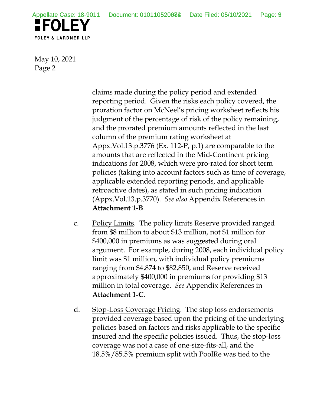

May 10, 2021 Page 2

> claims made during the policy period and extended reporting period. Given the risks each policy covered, the proration factor on McNeel's pricing worksheet reflects his judgment of the percentage of risk of the policy remaining, and the prorated premium amounts reflected in the last column of the premium rating worksheet at Appx.Vol.13.p.3776 (Ex. 112-P, p.1) are comparable to the amounts that are reflected in the Mid-Continent pricing indications for 2008, which were pro-rated for short term policies (taking into account factors such as time of coverage, applicable extended reporting periods, and applicable retroactive dates), as stated in such pricing indication (Appx.Vol.13.p.3770). *See also* Appendix References in **Attachment 1-B**.

- c. Policy Limits. The policy limits Reserve provided ranged from \$8 million to about \$13 million, not \$1 million for \$400,000 in premiums as was suggested during oral argument. For example, during 2008, each individual policy limit was \$1 million, with individual policy premiums ranging from \$4,874 to \$82,850, and Reserve received approximately \$400,000 in premiums for providing \$13 million in total coverage. *See* Appendix References in **Attachment 1-C**.
- d. Stop-Loss Coverage Pricing. The stop loss endorsements provided coverage based upon the pricing of the underlying policies based on factors and risks applicable to the specific insured and the specific policies issued. Thus, the stop-loss coverage was not a case of one-size-fits-all, and the 18.5%/85.5% premium split with PoolRe was tied to the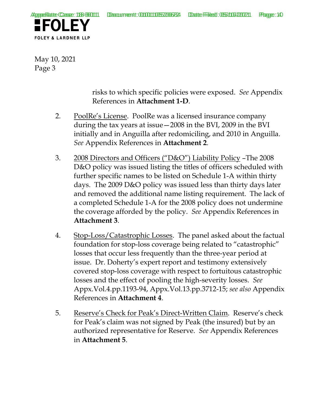

May 10, 2021 Page 3

> risks to which specific policies were exposed. *See* Appendix References in **Attachment 1-D**.

- 2. PoolRe's License. PoolRe was a licensed insurance company during the tax years at issue—2008 in the BVI, 2009 in the BVI initially and in Anguilla after redomiciling, and 2010 in Anguilla. *See* Appendix References in **Attachment 2**.
- 3. 2008 Directors and Officers ("D&O") Liability Policy –The 2008 D&O policy was issued listing the titles of officers scheduled with further specific names to be listed on Schedule 1-A within thirty days. The 2009 D&O policy was issued less than thirty days later and removed the additional name listing requirement. The lack of a completed Schedule 1-A for the 2008 policy does not undermine the coverage afforded by the policy. *See* Appendix References in **Attachment 3**.
- 4. Stop-Loss/Catastrophic Losses. The panel asked about the factual foundation for stop-loss coverage being related to "catastrophic" losses that occur less frequently than the three-year period at issue. Dr. Doherty's expert report and testimony extensively covered stop-loss coverage with respect to fortuitous catastrophic losses and the effect of pooling the high-severity losses. *See*  Appx.Vol.4.pp.1193-94, Appx.Vol.13.pp.3712-15; *see also* Appendix References in **Attachment 4**.
- 5. Reserve's Check for Peak's Direct-Written Claim. Reserve's check for Peak's claim was not signed by Peak (the insured) but by an authorized representative for Reserve. *See* Appendix References in **Attachment 5**.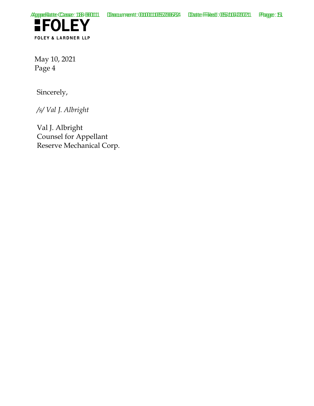

May 10, 2021 Page 4

Sincerely,

*/s/ Val J. Albright* 

Val J. Albright Counsel for Appellant Reserve Mechanical Corp.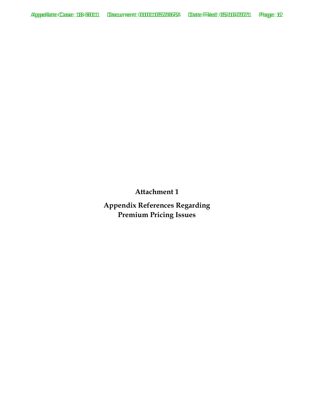**Appendix References Regarding Premium Pricing Issues**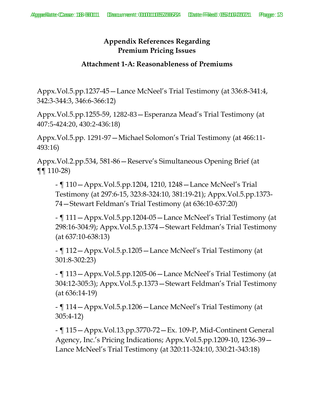#### **Attachment 1-A: Reasonableness of Premiums**

Appx.Vol.5.pp.1237-45—Lance McNeel's Trial Testimony (at 336:8-341:4, 342:3-344:3, 346:6-366:12)

Appx.Vol.5.pp.1255-59, 1282-83—Esperanza Mead's Trial Testimony (at 407:5-424:20, 430:2-436:18)

Appx.Vol.5.pp. 1291-97—Michael Solomon's Trial Testimony (at 466:11- 493:16)

Appx.Vol.2.pp.534, 581-86—Reserve's Simultaneous Opening Brief (at  $\P\P$  110-28)

- ¶ 110—Appx.Vol.5.pp.1204, 1210, 1248—Lance McNeel's Trial Testimony (at 297:6-15, 323:8-324:10, 381:19-21); Appx.Vol.5.pp.1373- 74—Stewart Feldman's Trial Testimony (at 636:10-637:20)

- ¶ 111—Appx.Vol.5.pp.1204-05—Lance McNeel's Trial Testimony (at 298:16-304:9); Appx.Vol.5.p.1374—Stewart Feldman's Trial Testimony (at 637:10-638:13)

- ¶ 112—Appx.Vol.5.p.1205—Lance McNeel's Trial Testimony (at 301:8-302:23)

- ¶ 113—Appx.Vol.5.pp.1205-06—Lance McNeel's Trial Testimony (at 304:12-305:3); Appx.Vol.5.p.1373—Stewart Feldman's Trial Testimony (at 636:14-19)

- ¶ 114—Appx.Vol.5.p.1206—Lance McNeel's Trial Testimony (at 305:4-12)

- ¶ 115—Appx.Vol.13.pp.3770-72—Ex. 109-P, Mid-Continent General Agency, Inc.'s Pricing Indications; Appx.Vol.5.pp.1209-10, 1236-39— Lance McNeel's Trial Testimony (at 320:11-324:10, 330:21-343:18)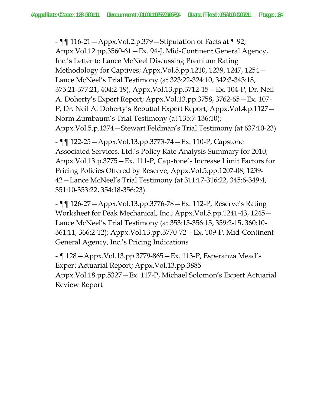- ¶¶ 116-21—Appx.Vol.2.p.379—Stipulation of Facts at ¶ 92; Appx.Vol.12.pp.3560-61—Ex. 94-J, Mid-Continent General Agency, Inc.'s Letter to Lance McNeel Discussing Premium Rating Methodology for Captives; Appx.Vol.5.pp.1210, 1239, 1247, 1254— Lance McNeel's Trial Testimony (at 323:22-324:10, 342:3-343:18, 375:21-377:21, 404:2-19); Appx.Vol.13.pp.3712-15—Ex. 104-P, Dr. Neil A. Doherty's Expert Report; Appx.Vol.13.pp.3758, 3762-65—Ex. 107- P, Dr. Neil A. Doherty's Rebuttal Expert Report; Appx.Vol.4.p.1127— Norm Zumbaum's Trial Testimony (at 135:7-136:10); Appx.Vol.5.p.1374—Stewart Feldman's Trial Testimony (at 637:10-23)

- ¶¶ 122-25—Appx.Vol.13.pp.3773-74—Ex. 110-P, Capstone Associated Services, Ltd.'s Policy Rate Analysis Summary for 2010; Appx.Vol.13.p.3775—Ex. 111-P, Capstone's Increase Limit Factors for Pricing Policies Offered by Reserve; Appx.Vol.5.pp.1207-08, 1239- 42—Lance McNeel's Trial Testimony (at 311:17-316:22, 345:6-349:4, 351:10-353:22, 354:18-356:23)

- ¶¶ 126-27—Appx.Vol.13.pp.3776-78—Ex. 112-P, Reserve's Rating Worksheet for Peak Mechanical, Inc.; Appx.Vol.5.pp.1241-43, 1245— Lance McNeel's Trial Testimony (at 353:15-356:15, 359:2-15, 360:10- 361:11, 366:2-12); Appx.Vol.13.pp.3770-72—Ex. 109-P, Mid-Continent General Agency, Inc.'s Pricing Indications

- ¶ 128—Appx.Vol.13.pp.3779-865—Ex. 113-P, Esperanza Mead's Expert Actuarial Report; Appx.Vol.13.pp.3885- Appx.Vol.18.pp.5327—Ex. 117-P, Michael Solomon's Expert Actuarial Review Report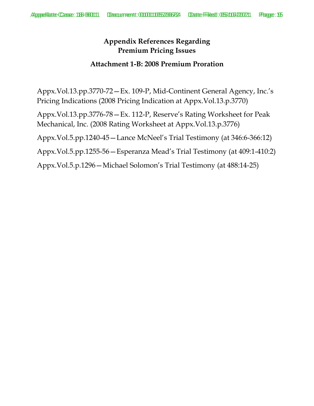#### **Attachment 1-B: 2008 Premium Proration**

Appx.Vol.13.pp.3770-72—Ex. 109-P, Mid-Continent General Agency, Inc.'s Pricing Indications (2008 Pricing Indication at Appx.Vol.13.p.3770)

Appx.Vol.13.pp.3776-78—Ex. 112-P, Reserve's Rating Worksheet for Peak Mechanical, Inc. (2008 Rating Worksheet at Appx.Vol.13.p.3776)

Appx.Vol.5.pp.1240-45—Lance McNeel's Trial Testimony (at 346:6-366:12)

Appx.Vol.5.pp.1255-56—Esperanza Mead's Trial Testimony (at 409:1-410:2)

Appx.Vol.5.p.1296—Michael Solomon's Trial Testimony (at 488:14-25)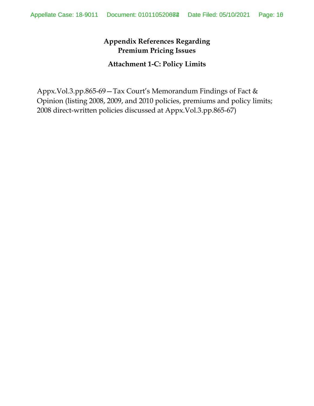#### **Attachment 1-C: Policy Limits**

Appx.Vol.3.pp.865-69—Tax Court's Memorandum Findings of Fact & Opinion (listing 2008, 2009, and 2010 policies, premiums and policy limits; 2008 direct-written policies discussed at Appx.Vol.3.pp.865-67)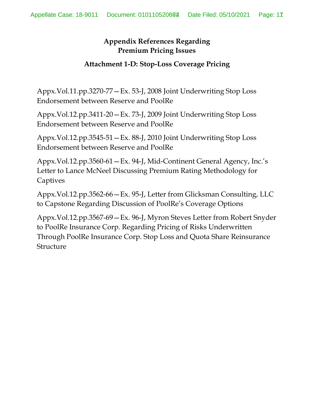#### **Attachment 1-D: Stop-Loss Coverage Pricing**

Appx.Vol.11.pp.3270-77—Ex. 53-J, 2008 Joint Underwriting Stop Loss Endorsement between Reserve and PoolRe

Appx.Vol.12.pp.3411-20—Ex. 73-J, 2009 Joint Underwriting Stop Loss Endorsement between Reserve and PoolRe

Appx.Vol.12.pp.3545-51—Ex. 88-J, 2010 Joint Underwriting Stop Loss Endorsement between Reserve and PoolRe

Appx.Vol.12.pp.3560-61—Ex. 94-J, Mid-Continent General Agency, Inc.'s Letter to Lance McNeel Discussing Premium Rating Methodology for Captives

Appx.Vol.12.pp.3562-66—Ex. 95-J, Letter from Glicksman Consulting, LLC to Capstone Regarding Discussion of PoolRe's Coverage Options

Appx.Vol.12.pp.3567-69—Ex. 96-J, Myron Steves Letter from Robert Snyder to PoolRe Insurance Corp. Regarding Pricing of Risks Underwritten Through PoolRe Insurance Corp. Stop Loss and Quota Share Reinsurance Structure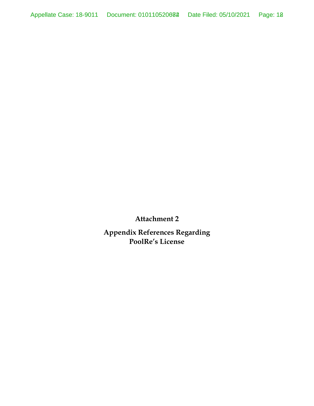**Appendix References Regarding PoolRe's License**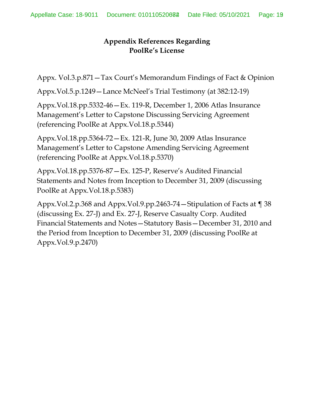## **Appendix References Regarding PoolRe's License**

Appx. Vol.3.p.871—Tax Court's Memorandum Findings of Fact & Opinion

Appx.Vol.5.p.1249—Lance McNeel's Trial Testimony (at 382:12-19)

Appx.Vol.18.pp.5332-46—Ex. 119-R, December 1, 2006 Atlas Insurance Management's Letter to Capstone Discussing Servicing Agreement (referencing PoolRe at Appx.Vol.18.p.5344)

Appx.Vol.18.pp.5364-72—Ex. 121-R, June 30, 2009 Atlas Insurance Management's Letter to Capstone Amending Servicing Agreement (referencing PoolRe at Appx.Vol.18.p.5370)

Appx.Vol.18.pp.5376-87—Ex. 125-P, Reserve's Audited Financial Statements and Notes from Inception to December 31, 2009 (discussing PoolRe at Appx.Vol.18.p.5383)

Appx.Vol.2.p.368 and Appx.Vol.9.pp.2463-74—Stipulation of Facts at ¶ 38 (discussing Ex. 27-J) and Ex. 27-J, Reserve Casualty Corp. Audited Financial Statements and Notes—Statutory Basis—December 31, 2010 and the Period from Inception to December 31, 2009 (discussing PoolRe at Appx.Vol.9.p.2470)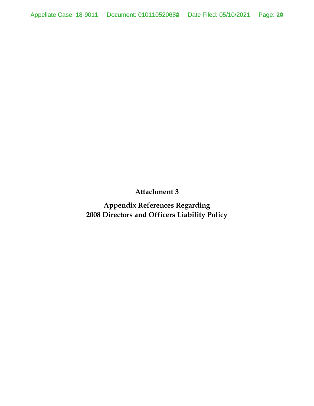**Appendix References Regarding 2008 Directors and Officers Liability Policy**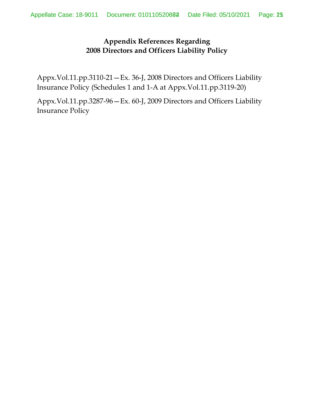## **Appendix References Regarding 2008 Directors and Officers Liability Policy**

Appx.Vol.11.pp.3110-21—Ex. 36-J, 2008 Directors and Officers Liability Insurance Policy (Schedules 1 and 1-A at Appx.Vol.11.pp.3119-20)

Appx.Vol.11.pp.3287-96—Ex. 60-J, 2009 Directors and Officers Liability Insurance Policy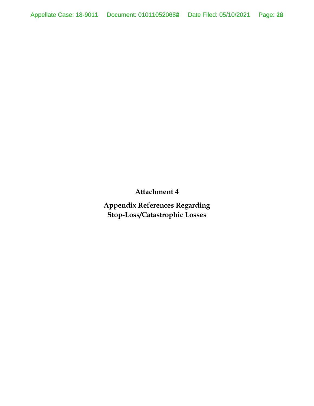**Appendix References Regarding Stop-Loss/Catastrophic Losses**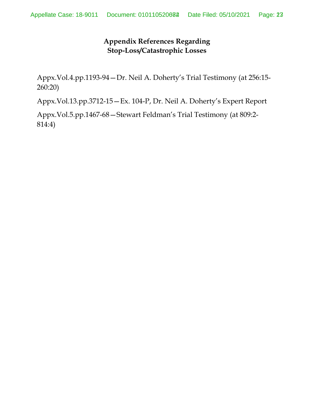## **Appendix References Regarding Stop-Loss/Catastrophic Losses**

Appx.Vol.4.pp.1193-94—Dr. Neil A. Doherty's Trial Testimony (at 256:15- 260:20)

Appx.Vol.13.pp.3712-15—Ex. 104-P, Dr. Neil A. Doherty's Expert Report

Appx.Vol.5.pp.1467-68—Stewart Feldman's Trial Testimony (at 809:2- 814:4)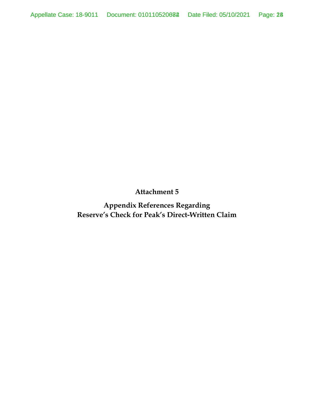**Appendix References Regarding Reserve's Check for Peak's Direct-Written Claim**